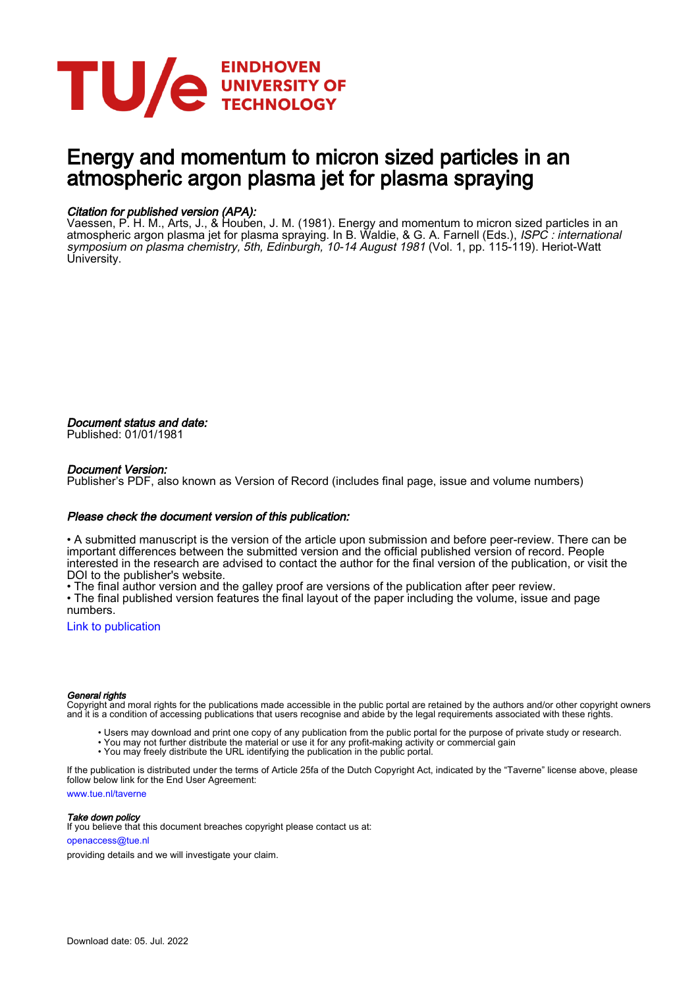

# Energy and momentum to micron sized particles in an atmospheric argon plasma jet for plasma spraying

# Citation for published version (APA):

Vaessen, P. H. M., Arts, J., & Houben, J. M. (1981). Energy and momentum to micron sized particles in an atmospheric argon plasma jet for plasma spraying. In B. Waldie, & G. A. Farnell (Eds.), *ISPC : international* symposium on plasma chemistry, 5th, Edinburgh, 10-14 August 1981 (Vol. 1, pp. 115-119). Heriot-Watt University.

Document status and date: Published: 01/01/1981

# Document Version:

Publisher's PDF, also known as Version of Record (includes final page, issue and volume numbers)

## Please check the document version of this publication:

• A submitted manuscript is the version of the article upon submission and before peer-review. There can be important differences between the submitted version and the official published version of record. People interested in the research are advised to contact the author for the final version of the publication, or visit the DOI to the publisher's website.

• The final author version and the galley proof are versions of the publication after peer review.

• The final published version features the final layout of the paper including the volume, issue and page numbers.

[Link to publication](https://research.tue.nl/en/publications/894ce28c-fd27-455f-befb-1412f2cffc9b)

### General rights

Copyright and moral rights for the publications made accessible in the public portal are retained by the authors and/or other copyright owners and it is a condition of accessing publications that users recognise and abide by the legal requirements associated with these rights.

- Users may download and print one copy of any publication from the public portal for the purpose of private study or research.
- You may not further distribute the material or use it for any profit-making activity or commercial gain
- You may freely distribute the URL identifying the publication in the public portal.

If the publication is distributed under the terms of Article 25fa of the Dutch Copyright Act, indicated by the "Taverne" license above, please follow below link for the End User Agreement:

www.tue.nl/taverne

**Take down policy**<br>If you believe that this document breaches copyright please contact us at:

openaccess@tue.nl

providing details and we will investigate your claim.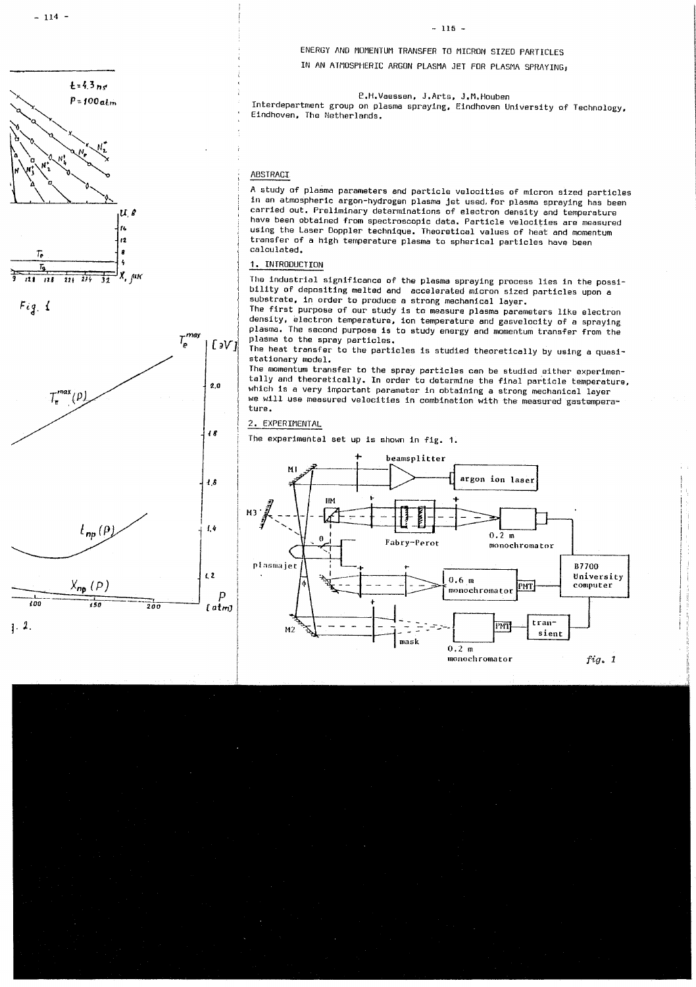ENERGY AND MOMENTUM TRANSFER TO MICRON SIZED PARTICLES IN AN ATMOSPHERIC ARGON PLASMA JET FOR PLASMA SPRAYING.

P.H.Vaessen, J.Arts, J.M.Houben

Interdepartment group on plasma spraying, Eindhoven University of Technology, Eindhoven, The Netherlands.

#### ABSTRACI

A study of plasma parameters and particle velocities of micron sized particles in an atmospheric argon-hydrogen plasma jet used, for plasma spraying has been carried out. Preliminary determinations of electron density and temperature have been obtained from spectroscopic data. Particle velocities are measured using the Laser Doppler technique. Theoretical values of heat and momentum transfer of a high temperature plasma to spherical particles have been calculated.

#### 1. INTRODUCTION

The industrial significance of the plasma spraying process lies in the possibility of depositing melted and accelerated micron sized particles upon a substrate, in order to produce a strong mechanical layer.

The first purpose of our study is to measure plasma parameters like electron density, electron temperature, ion temperature and gasvelocity of a spraying plasma. The second purpose is to study energy and momentum transfer from the plasma to the spray particles.

The heat transfer to the particles is studied theoretically by using a quasistationary model.

The momentum transfer to the spray particles can be studied either experimentally and theoretically. In order to determine the final particle temperature, which is a very important parameter in obtaining a strong mechanical layer we will use measured velocities in combination with the measured gastemperature.

#### 2. EXPERIMENTAL

The experimental set up is shown in fig. 1.

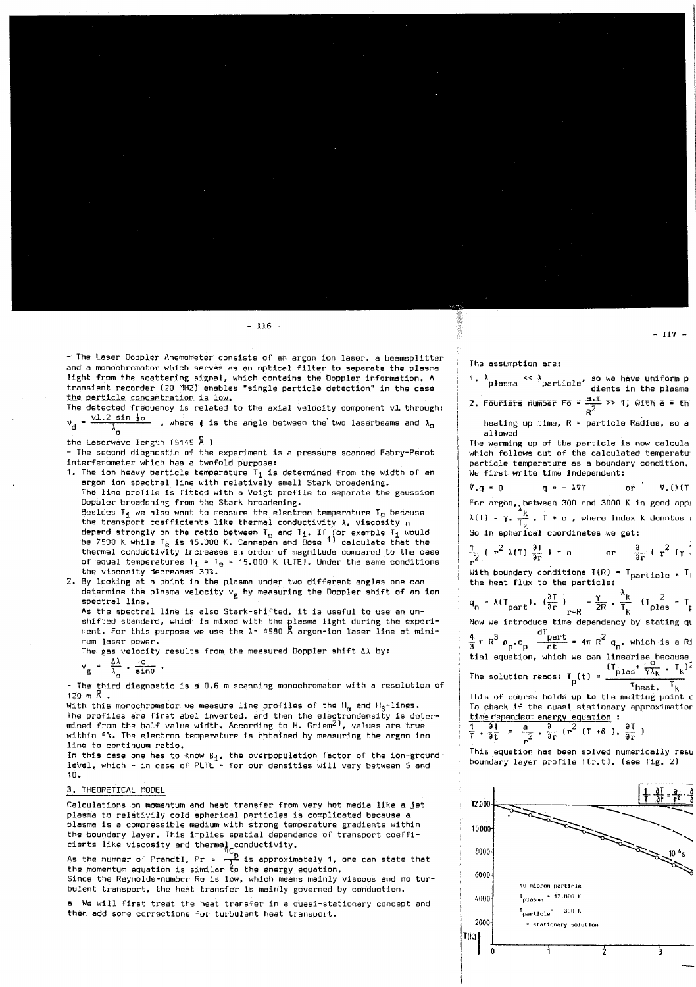- The Laser Ooppler Anemometer consists of an argon ion laser, a beamsplitter and a monochromator which serves as an optical filter to separate the plasma light from the scattering signal, which contains the Doppler information. A transient recorder (20 MH2) enables "single particle detection" in the case the particle concentration is low.

The detected frequency is related to the axial velocity component vl through:  $v_d = \frac{v1.2 \sin \frac{1}{2} \phi}{1}$ , where  $\phi$  is the angle between the two laserbeams and  $\lambda_0$ 

the Laserwave length (5145  $\overline{R}$  )

- The second diagnostic of the experiment is a pressure scanned Fabry-Perot interferometer which has a twofold purpose:

- 1. The ion heavy particle temperature T<sub>i</sub> is determined from the width of an argon ion spectral line with relatively small Stark broadening. The line profile is fitted with a Voigt profile to separate the gaussion Doppler broadening from the Stark broadening. Besides  $T_4$  we also want to measure the electron temperature  $T_B$  because the trensport coefficients like thermal conductivity  $\lambda$ , viscosity  $\eta$ depend strongly on the ratio between T<sub>e</sub> and T<sub>1</sub>. If for example T<sub>1</sub> would be 7500 K while T<sub>e</sub> is 15.000 K. Cannapan and Bose <sup>1)</sup> calculate that the thermal conductivity increases an order of magnitude compared to the case of equal temperatures  $T_1 = T_0 = 15.000$  K (LTE). Under the same conditions the viscosity decreases 30%.
- 2. By looking at a point in the plasma under two different angles one can determine the plasma velocity  $v_{\sigma}$  by measuring the Doppler shift of an ion spectral line.

As the spectral line is also Stark-shifted, it is useful to use an unshifted standard, which is mixed with the plasma light during the experiment. For this purpose we use the  $\lambda$ = 4580  $\overline{R}$  argon-ion laser line at minimum laser power.

The gas velocity results from the measured Doppler shift AA by:

 $v_g = \frac{\Delta\lambda}{\lambda_g} \cdot \frac{c}{\sin\theta}$ .

- The third diagnostic is a 0.6 m scanning monochromator with a resolution of  $120 m R$ .

With this monochromator we measure line profiles of the H<sub> $\alpha$ </sub> and H<sub>B</sub>-lines. The profiles are first abel inverted, and then the electrondensity is determined from the half value width. According to H. Griem<sup>2)</sup>, values are true within 5%. The electron temperature is obtained by measuring the argon ion line to continuum ratio.

In this case one has to know  $B_1$ , the overpopulation factor of the ion-groundlevel, which - in case of PLTE - for our densities will vary between 5 and 10.

#### 3. THEORETICAL MODEL

Calculations on momentum and heat transfer from very hot media like a jet plasma to relativily cold spherical perticles is complicated because a plasme is a compressible medium with strong temperature gradients within the boundary layer. This implies spatial dependance of transport coeffi-

cients like viscosity and thermal conductivity.<br>As the numner of Prandtl, Pr =  $\frac{p}{\lambda}$  is approximately 1, one can state that the momentum equation is similar to the energy equation.

Since the Reynolds-number Re is low, which means mainly viscous and no turbulent transport, the heat transfer is mainly governed by conduction.

a We will first treat the heat transfer in a quasi-stationary concept and then add some corrections for turbulent heat transport.

 $-116-$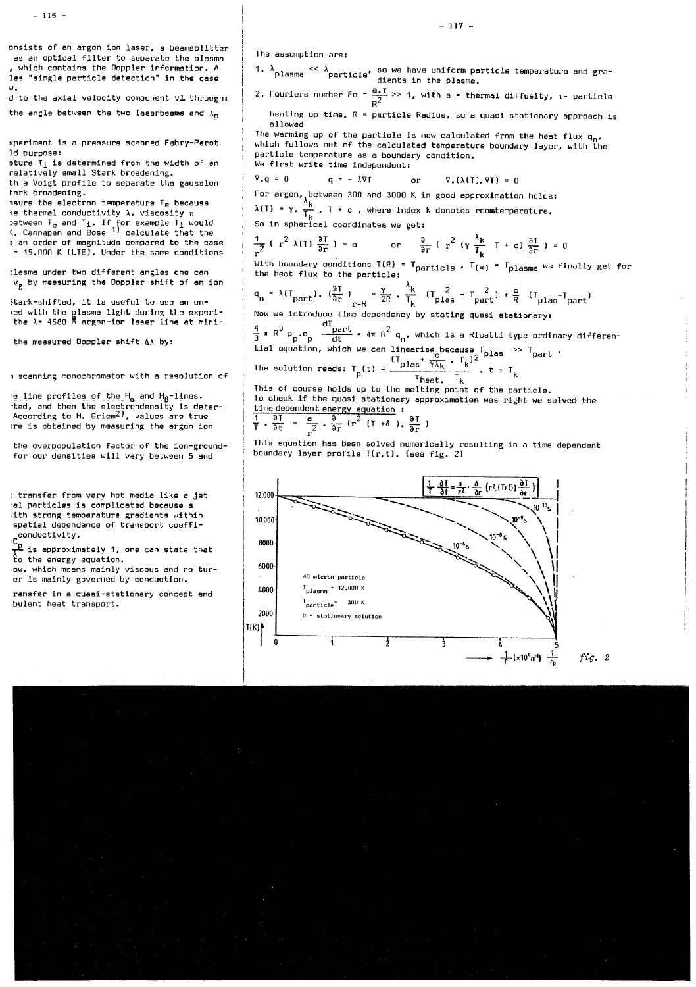#### The assumption are:

 $I_{\text{plasma}} = 12{+}000 \text{ K}$ 

 $I_{particle}$   $=$  300 K

ì

0 = stationary solution

ż

à

4000

2000

 $\mathbf 0$ 

1.  $\lambda$  plasma <<  $\lambda$  particle' so we have uniform particle temperature and gra-2. Fouriers number Fo =  $\frac{a_1T}{c^2}$  >> 1, with a = thermal diffusity,  $\tau$ = particle heating up time, R = particle Radius, so a quasi stationary approach is allowed The warming up of the particle is now calculated from the heat flux q., which follows out of the calculated temperature boundary layer, with the particle temperature as a boundary condition. We first write time independent:  $\overline{v} \cdot a = 0$  $a = -\lambda \nabla T$  $\nabla_x (\lambda(T), \nabla T) = 0$  $\alpha$ r For argon, between 300 and 3000 K in good approximation holds:<br> $\lambda(T) = \gamma \cdot \frac{k}{T_k}$ . T + c , where index k denotes roomtemperature. So in spherical coordinates we get:  $rac{1}{\pi^2}$  (  $r^2$   $\lambda(T)$   $rac{\partial T}{\partial r}$  ) = 0 0r  $rac{\partial}{\partial r}$  (  $r^2$  ( $\gamma \frac{\lambda_k}{T_c}$  T + c)  $rac{\partial T}{\partial r}$  ) = 0 With boundary conditions  $T(R) = T_{particle}$ .  $T_{(\alpha)} = T_{plasma}$  we finally get for the heat flux to the particle:  $q_n = \lambda(T_{part})$ .  $(\frac{\partial T}{\partial r})_{n=R} = \frac{\gamma}{2R}$ .  $\frac{\lambda_k}{T_k}$   $(T_{plas}^2 - T_{part})$  +  $\frac{c}{R}$   $(T_{plas}^T_{part})$ Now we introduce time dependency by stating quasi stationary:  $\frac{4}{3}$   $\pi$  R<sup>3</sup>  $\rho$  c<sub>p</sub>  $\frac{dI_{part}}{dt}$  = 4 $\pi$  R<sup>2</sup>  $q_n$ , which is a Ricatti type ordinary differential equation, which we can linearise because  $I_{\text{plas}} \gg I_{\text{part}}$ .<br>The solution reads:  $I_p(t) = \frac{(I_{\text{plas}} + \frac{c}{\gamma \lambda_k} -$ This of course holds up to the melting point of the particle. To check if the quasi stationary approximation was right we solved the time dependent energy equation :<br>  $\frac{1}{1} \cdot \frac{\partial T}{\partial t} = \frac{a}{2} \cdot \frac{\partial}{\partial r} (r^2 (T + \delta), \frac{\partial T}{\partial r})$ This equation has been solved numerically resulting in a time dependent boundary layer profile T(r,t), (see fig. 2)  $\frac{\frac{1}{1} \left| \frac{\partial T}{\partial t} = \frac{a}{r^2} \cdot \frac{\partial}{\partial r} \left( r^2 \cdot (T \cdot \delta) \frac{\partial}{\partial r} \right) \right|}{r^2 \cdot 10^{-10} s}$ 12:000 10.000 8000 6000 40 micron particle

> $\frac{1}{2}$  (×10<sup>4</sup> m<sup>1</sup>)  $\frac{1}{5}$  $fig.2$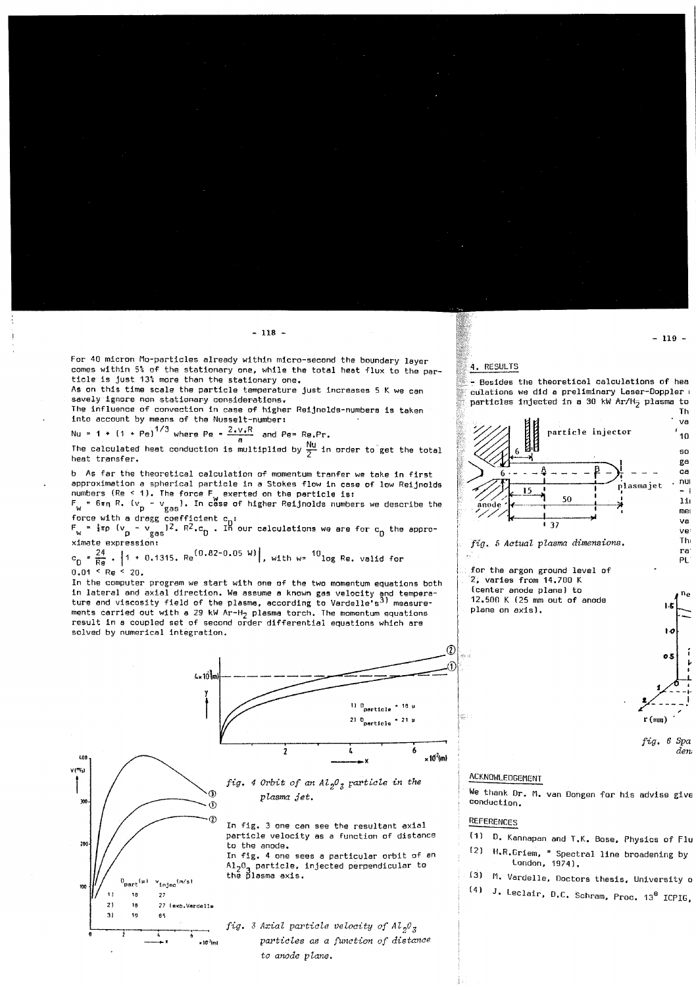For 40 micron Mo-particles already within micro-second the boundary layer comes within 5% of the stationary one, while the total heat flux to the particle is just 13% more than the stationary one.

As on this time scale the particle temperature just increases 5 K we can savely ignore non stationary considerations.

The influence of convection in case of higher Reijnolds-numbers is taken into account by means of the Nusselt-number:

Nu = 1 +  $(1 + Pe)^{1/3}$  where Pg =  $\frac{2.116R}{2.116}$  and Pg= Rg.Pr.

The calculated heat conduction is multiplied by  $\frac{Nu}{\pi}$  in order to get the total heat transfer.

b As far the theoretical calculation of momentum tranfer we take in first approximation a spherical particle in a Stokes flow in case of low Reijnolds numbers (Re < 1). The force F<sub>N</sub> exerted on the particle is:<br>F<sub>N</sub> = 6xn R, (v<sub>p</sub> - v<sub>gas</sub>). In case of higher Reijnolds numbers we describe the

force with a dragg coefficient c<sub>p</sub>:<br> $F_w = \frac{1}{2} \pi p$  ( $v_p = v_{gas}$ )<sup>2</sup>. R<sup>2</sup>.c<sub>D</sub>. In our calculations we are for c<sub>p</sub> the approximate expression:

 $c_0 = \frac{24}{Re}$ . 1 + 0.1315. Re<sup>(0.82-0.05 W)</sup>, with w<sup>= 10</sup>log Re. valid for  $0.01 \leq Re \leq 20.$ 

In the computer program we start with one of the two momentum equations both in lateral and axial direction. We assume a known gas velocity and temperature and viscosity field of the plasma, according to Vardelle's<sup>3)</sup> measurements carried out with a 29 kW Ar-H<sub>2</sub> plasma torch. The momentum equations result in a coupled set of second order differential equations which are solved by numerical integration.